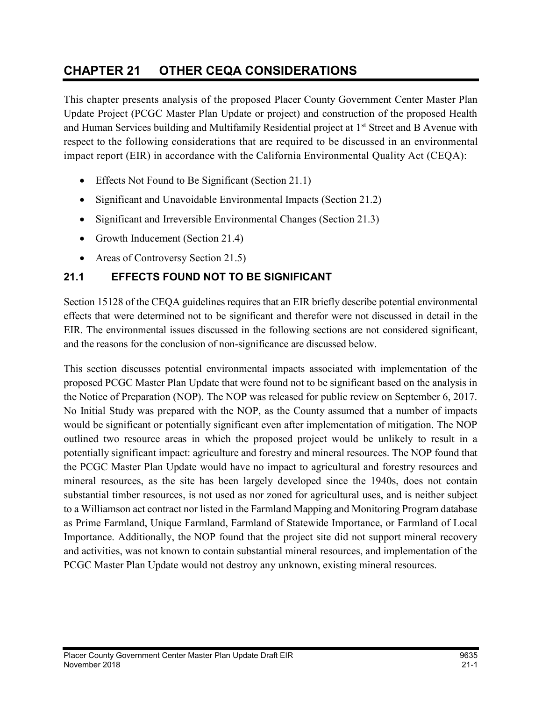# CHAPTER 21 OTHER CEQA CONSIDERATIONS

This chapter presents analysis of the proposed Placer County Government Center Master Plan Update Project (PCGC Master Plan Update or project) and construction of the proposed Health and Human Services building and Multifamily Residential project at 1<sup>st</sup> Street and B Avenue with respect to the following considerations that are required to be discussed in an environmental impact report (EIR) in accordance with the California Environmental Quality Act (CEQA):

- Effects Not Found to Be Significant (Section 21.1)
- Significant and Unavoidable Environmental Impacts (Section 21.2)
- Significant and Irreversible Environmental Changes (Section 21.3)
- Growth Inducement (Section 21.4)
- Areas of Controversy Section 21.5)

### 21.1 EFFECTS FOUND NOT TO BE SIGNIFICANT

Section 15128 of the CEQA guidelines requires that an EIR briefly describe potential environmental effects that were determined not to be significant and therefor were not discussed in detail in the EIR. The environmental issues discussed in the following sections are not considered significant, and the reasons for the conclusion of non-significance are discussed below.

This section discusses potential environmental impacts associated with implementation of the proposed PCGC Master Plan Update that were found not to be significant based on the analysis in the Notice of Preparation (NOP). The NOP was released for public review on September 6, 2017. No Initial Study was prepared with the NOP, as the County assumed that a number of impacts would be significant or potentially significant even after implementation of mitigation. The NOP outlined two resource areas in which the proposed project would be unlikely to result in a potentially significant impact: agriculture and forestry and mineral resources. The NOP found that the PCGC Master Plan Update would have no impact to agricultural and forestry resources and mineral resources, as the site has been largely developed since the 1940s, does not contain substantial timber resources, is not used as nor zoned for agricultural uses, and is neither subject to a Williamson act contract nor listed in the Farmland Mapping and Monitoring Program database as Prime Farmland, Unique Farmland, Farmland of Statewide Importance, or Farmland of Local Importance. Additionally, the NOP found that the project site did not support mineral recovery and activities, was not known to contain substantial mineral resources, and implementation of the PCGC Master Plan Update would not destroy any unknown, existing mineral resources.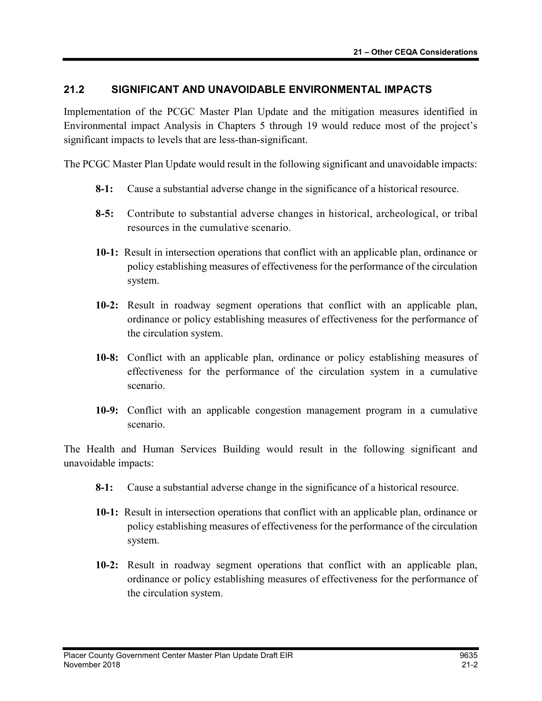#### 21.2 SIGNIFICANT AND UNAVOIDABLE ENVIRONMENTAL IMPACTS

Implementation of the PCGC Master Plan Update and the mitigation measures identified in Environmental impact Analysis in Chapters 5 through 19 would reduce most of the project's significant impacts to levels that are less-than-significant.

The PCGC Master Plan Update would result in the following significant and unavoidable impacts:

- 8-1: Cause a substantial adverse change in the significance of a historical resource.
- 8-5: Contribute to substantial adverse changes in historical, archeological, or tribal resources in the cumulative scenario.
- 10-1: Result in intersection operations that conflict with an applicable plan, ordinance or policy establishing measures of effectiveness for the performance of the circulation system.
- 10-2: Result in roadway segment operations that conflict with an applicable plan, ordinance or policy establishing measures of effectiveness for the performance of the circulation system.
- 10-8: Conflict with an applicable plan, ordinance or policy establishing measures of effectiveness for the performance of the circulation system in a cumulative scenario.
- 10-9: Conflict with an applicable congestion management program in a cumulative scenario.

The Health and Human Services Building would result in the following significant and unavoidable impacts:

- 8-1: Cause a substantial adverse change in the significance of a historical resource.
- 10-1: Result in intersection operations that conflict with an applicable plan, ordinance or policy establishing measures of effectiveness for the performance of the circulation system.
- 10-2: Result in roadway segment operations that conflict with an applicable plan, ordinance or policy establishing measures of effectiveness for the performance of the circulation system.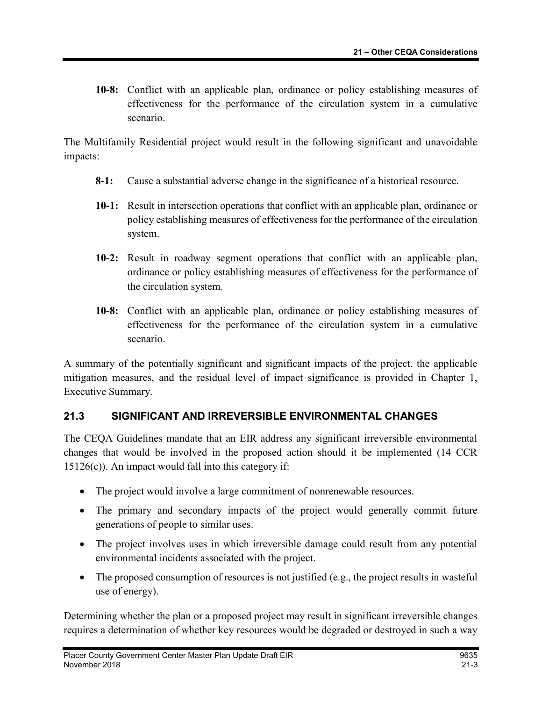10-8: Conflict with an applicable plan, ordinance or policy establishing measures of effectiveness for the performance of the circulation system in a cumulative scenario.

The Multifamily Residential project would result in the following significant and unavoidable impacts:

- 8-1: Cause a substantial adverse change in the significance of a historical resource.
- 10-1: Result in intersection operations that conflict with an applicable plan, ordinance or policy establishing measures of effectiveness for the performance of the circulation system.
- 10-2: Result in roadway segment operations that conflict with an applicable plan, ordinance or policy establishing measures of effectiveness for the performance of the circulation system.
- 10-8: Conflict with an applicable plan, ordinance or policy establishing measures of effectiveness for the performance of the circulation system in a cumulative scenario.

A summary of the potentially significant and significant impacts of the project, the applicable mitigation measures, and the residual level of impact significance is provided in Chapter 1, Executive Summary.

#### 21.3 SIGNIFICANT AND IRREVERSIBLE ENVIRONMENTAL CHANGES

The CEQA Guidelines mandate that an EIR address any significant irreversible environmental changes that would be involved in the proposed action should it be implemented (14 CCR  $15126(c)$ ). An impact would fall into this category if:

- The project would involve a large commitment of nonrenewable resources.
- The primary and secondary impacts of the project would generally commit future generations of people to similar uses.
- The project involves uses in which irreversible damage could result from any potential environmental incidents associated with the project.
- The proposed consumption of resources is not justified (e.g., the project results in wasteful use of energy).

Determining whether the plan or a proposed project may result in significant irreversible changes requires a determination of whether key resources would be degraded or destroyed in such a way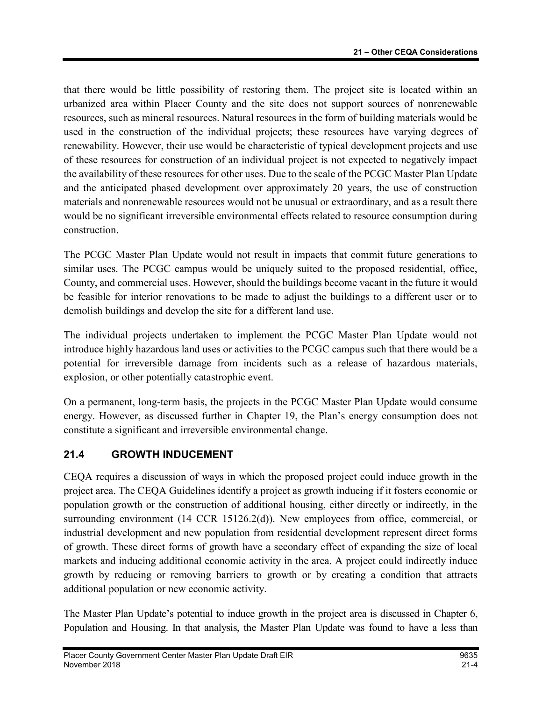that there would be little possibility of restoring them. The project site is located within an urbanized area within Placer County and the site does not support sources of nonrenewable resources, such as mineral resources. Natural resources in the form of building materials would be used in the construction of the individual projects; these resources have varying degrees of renewability. However, their use would be characteristic of typical development projects and use of these resources for construction of an individual project is not expected to negatively impact the availability of these resources for other uses. Due to the scale of the PCGC Master Plan Update and the anticipated phased development over approximately 20 years, the use of construction materials and nonrenewable resources would not be unusual or extraordinary, and as a result there would be no significant irreversible environmental effects related to resource consumption during construction.

The PCGC Master Plan Update would not result in impacts that commit future generations to similar uses. The PCGC campus would be uniquely suited to the proposed residential, office, County, and commercial uses. However, should the buildings become vacant in the future it would be feasible for interior renovations to be made to adjust the buildings to a different user or to demolish buildings and develop the site for a different land use.

The individual projects undertaken to implement the PCGC Master Plan Update would not introduce highly hazardous land uses or activities to the PCGC campus such that there would be a potential for irreversible damage from incidents such as a release of hazardous materials, explosion, or other potentially catastrophic event.

On a permanent, long-term basis, the projects in the PCGC Master Plan Update would consume energy. However, as discussed further in Chapter 19, the Plan's energy consumption does not constitute a significant and irreversible environmental change.

## 21.4 GROWTH INDUCEMENT

CEQA requires a discussion of ways in which the proposed project could induce growth in the project area. The CEQA Guidelines identify a project as growth inducing if it fosters economic or population growth or the construction of additional housing, either directly or indirectly, in the surrounding environment (14 CCR 15126.2(d)). New employees from office, commercial, or industrial development and new population from residential development represent direct forms of growth. These direct forms of growth have a secondary effect of expanding the size of local markets and inducing additional economic activity in the area. A project could indirectly induce growth by reducing or removing barriers to growth or by creating a condition that attracts additional population or new economic activity.

The Master Plan Update's potential to induce growth in the project area is discussed in Chapter 6, Population and Housing. In that analysis, the Master Plan Update was found to have a less than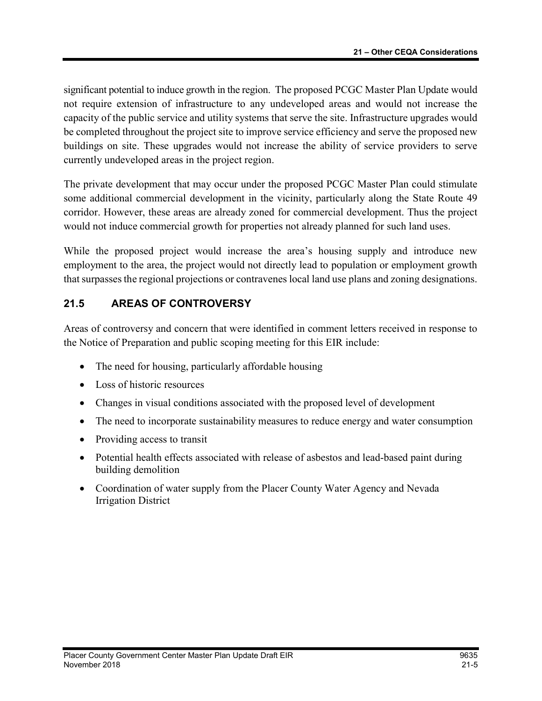significant potential to induce growth in the region. The proposed PCGC Master Plan Update would not require extension of infrastructure to any undeveloped areas and would not increase the capacity of the public service and utility systems that serve the site. Infrastructure upgrades would be completed throughout the project site to improve service efficiency and serve the proposed new buildings on site. These upgrades would not increase the ability of service providers to serve currently undeveloped areas in the project region.

The private development that may occur under the proposed PCGC Master Plan could stimulate some additional commercial development in the vicinity, particularly along the State Route 49 corridor. However, these areas are already zoned for commercial development. Thus the project would not induce commercial growth for properties not already planned for such land uses.

While the proposed project would increase the area's housing supply and introduce new employment to the area, the project would not directly lead to population or employment growth that surpasses the regional projections or contravenes local land use plans and zoning designations.

#### 21.5 AREAS OF CONTROVERSY

Areas of controversy and concern that were identified in comment letters received in response to the Notice of Preparation and public scoping meeting for this EIR include:

- The need for housing, particularly affordable housing
- Loss of historic resources
- Changes in visual conditions associated with the proposed level of development
- The need to incorporate sustainability measures to reduce energy and water consumption
- Providing access to transit
- Potential health effects associated with release of asbestos and lead-based paint during building demolition
- Coordination of water supply from the Placer County Water Agency and Nevada Irrigation District